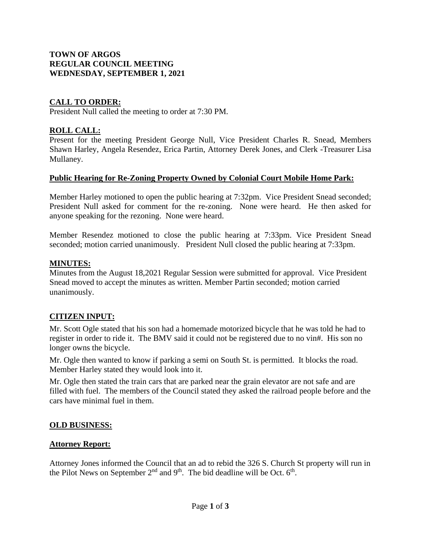## **TOWN OF ARGOS REGULAR COUNCIL MEETING WEDNESDAY, SEPTEMBER 1, 2021**

# **CALL TO ORDER:**

President Null called the meeting to order at 7:30 PM.

# **ROLL CALL:**

Present for the meeting President George Null, Vice President Charles R. Snead, Members Shawn Harley, Angela Resendez, Erica Partin, Attorney Derek Jones, and Clerk -Treasurer Lisa Mullaney.

## **Public Hearing for Re-Zoning Property Owned by Colonial Court Mobile Home Park:**

Member Harley motioned to open the public hearing at 7:32pm. Vice President Snead seconded; President Null asked for comment for the re-zoning. None were heard. He then asked for anyone speaking for the rezoning. None were heard.

Member Resendez motioned to close the public hearing at 7:33pm. Vice President Snead seconded; motion carried unanimously. President Null closed the public hearing at 7:33pm.

### **MINUTES:**

Minutes from the August 18,2021 Regular Session were submitted for approval. Vice President Snead moved to accept the minutes as written. Member Partin seconded; motion carried unanimously.

## **CITIZEN INPUT:**

Mr. Scott Ogle stated that his son had a homemade motorized bicycle that he was told he had to register in order to ride it. The BMV said it could not be registered due to no vin#. His son no longer owns the bicycle.

Mr. Ogle then wanted to know if parking a semi on South St. is permitted. It blocks the road. Member Harley stated they would look into it.

Mr. Ogle then stated the train cars that are parked near the grain elevator are not safe and are filled with fuel. The members of the Council stated they asked the railroad people before and the cars have minimal fuel in them.

## **OLD BUSINESS:**

## **Attorney Report:**

Attorney Jones informed the Council that an ad to rebid the 326 S. Church St property will run in the Pilot News on September  $2<sup>nd</sup>$  and  $9<sup>th</sup>$ . The bid deadline will be Oct.  $6<sup>th</sup>$ .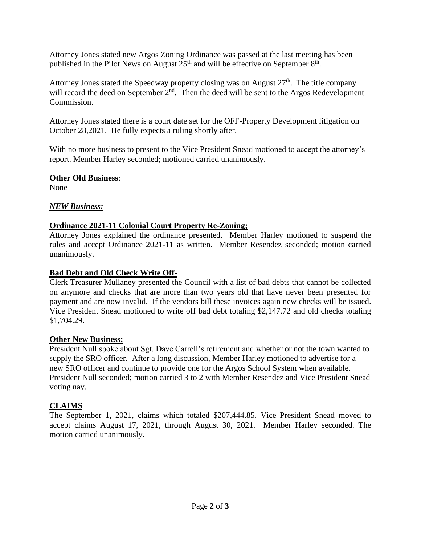Attorney Jones stated new Argos Zoning Ordinance was passed at the last meeting has been published in the Pilot News on August  $25<sup>th</sup>$  and will be effective on September  $8<sup>th</sup>$ .

Attorney Jones stated the Speedway property closing was on August  $27<sup>th</sup>$ . The title company will record the deed on September  $2<sup>nd</sup>$ . Then the deed will be sent to the Argos Redevelopment Commission.

Attorney Jones stated there is a court date set for the OFF-Property Development litigation on October 28,2021. He fully expects a ruling shortly after.

With no more business to present to the Vice President Snead motioned to accept the attorney's report. Member Harley seconded; motioned carried unanimously.

### **Other Old Business**:

None

## *NEW Business:*

## **Ordinance 2021-11 Colonial Court Property Re-Zoning;**

Attorney Jones explained the ordinance presented. Member Harley motioned to suspend the rules and accept Ordinance 2021-11 as written. Member Resendez seconded; motion carried unanimously.

### **Bad Debt and Old Check Write Off-**

Clerk Treasurer Mullaney presented the Council with a list of bad debts that cannot be collected on anymore and checks that are more than two years old that have never been presented for payment and are now invalid. If the vendors bill these invoices again new checks will be issued. Vice President Snead motioned to write off bad debt totaling \$2,147.72 and old checks totaling \$1,704.29.

### **Other New Business:**

President Null spoke about Sgt. Dave Carrell's retirement and whether or not the town wanted to supply the SRO officer. After a long discussion, Member Harley motioned to advertise for a new SRO officer and continue to provide one for the Argos School System when available. President Null seconded; motion carried 3 to 2 with Member Resendez and Vice President Snead voting nay.

## **CLAIMS**

The September 1, 2021, claims which totaled \$207,444.85. Vice President Snead moved to accept claims August 17, 2021, through August 30, 2021. Member Harley seconded. The motion carried unanimously.